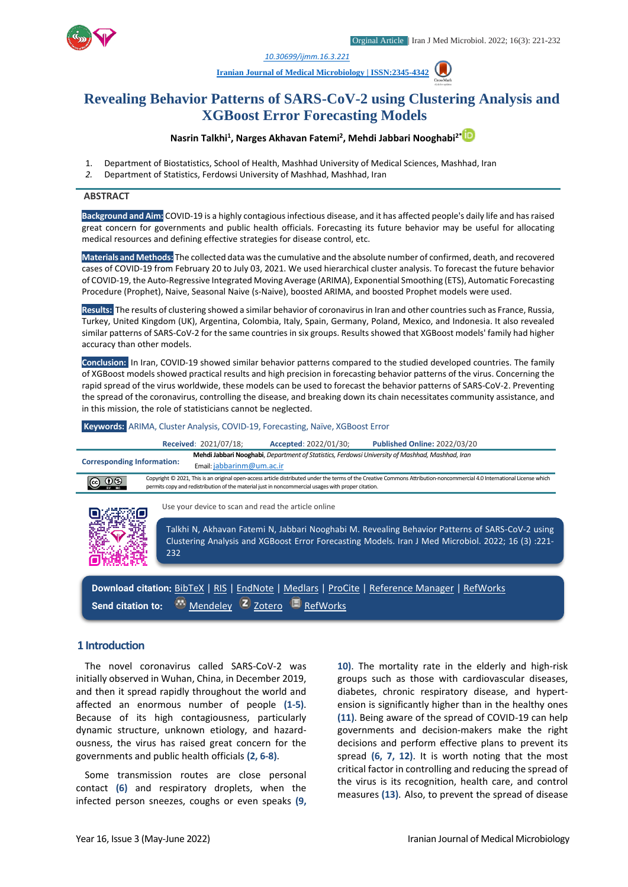

*1. [10.30699/ijmm.16.3.221](http://dx.doi.org/10.30699/ijmm.16.3.221)*

**[Iranian Journal of Medical Microbiology |](https://ijmm.ir/) ISSN:2345-4342**

# **Revealing Behavior Patterns of SARS-CoV-2 using Clustering Analysis and XGBoost Error Forecasting Models**

# **Nasrin Talkhi<sup>1</sup> , Narges Akhavan Fatemi<sup>2</sup> , Mehdi Jabbari Nooghabi2[\\*](http://orcid.org/0000000256362209)**

- 1. Department of Biostatistics, School of Health, Mashhad University of Medical Sciences, Mashhad, Iran
- *2.* Department of Statistics, Ferdowsi University of Mashhad, Mashhad, Iran

#### **ABSTRACT**

**Background and Aim:** COVID-19 is a highly contagious infectious disease, and it has affected people's daily life and has raised great concern for governments and public health officials. Forecasting its future behavior may be useful for allocating medical resources and defining effective strategies for disease control, etc.

**Materials and Methods:** The collected data was the cumulative and the absolute number of confirmed, death, and recovered cases of COVID-19 from February 20 to July 03, 2021. We used hierarchical cluster analysis. To forecast the future behavior of COVID-19, the Auto-Regressive Integrated Moving Average (ARIMA), Exponential Smoothing (ETS), Automatic Forecasting Procedure (Prophet), Naive, Seasonal Naive (s-Naive), boosted ARIMA, and boosted Prophet models were used.

**Results:** The results of clustering showed a similar behavior of coronavirus in Iran and other countries such as France, Russia, Turkey, United Kingdom (UK), Argentina, Colombia, Italy, Spain, Germany, Poland, Mexico, and Indonesia. It also revealed similar patterns of SARS-CoV-2 for the same countries in six groups. Results showed that XGBoost models' family had higher accuracy than other models.

**Conclusion:** In Iran, COVID-19 showed similar behavior patterns compared to the studied developed countries. The family of XGBoost models showed practical results and high precision in forecasting behavior patterns of the virus. Concerning the rapid spread of the virus worldwide, these models can be used to forecast the behavior patterns of SARS-CoV-2. Preventing the spread of the coronavirus, controlling the disease, and breaking down its chain necessitates community assistance, and in this mission, the role of statisticians cannot be neglected.

#### **Keywords:** ARIMA, Cluster Analysis, COVID-19, Forecasting, Naïve, XGBoost Error

|                                   | Received: 2021/07/18;                               | Accepted: 2022/01/30;                                                                              | <b>Published Online: 2022/03/20</b>                                                                                                                                                                   |  |  |
|-----------------------------------|-----------------------------------------------------|----------------------------------------------------------------------------------------------------|-------------------------------------------------------------------------------------------------------------------------------------------------------------------------------------------------------|--|--|
| <b>Corresponding Information:</b> | Email: jabbarinm@um.ac.ir                           |                                                                                                    | Mehdi Jabbari Nooghabi, Department of Statistics, Ferdowsi University of Mashhad, Mashhad, Iran                                                                                                       |  |  |
|                                   |                                                     | permits copy and redistribution of the material just in noncommercial usages with proper citation. | Copyright © 2021, This is an original open-access article distributed under the terms of the Creative Commons Attribution-noncommercial 4.0 International License which                               |  |  |
|                                   | Use your device to scan and read the article online |                                                                                                    |                                                                                                                                                                                                       |  |  |
|                                   | 232                                                 |                                                                                                    | Talkhi N, Akhavan Fatemi N, Jabbari Nooghabi M. Revealing Behavior Patterns of SARS-CoV-2 using<br>-221: Clustering Analysis and XGBoost Error Forecasting Models. Iran J Med Microbiol. 2022; 16 (3) |  |  |
|                                   |                                                     |                                                                                                    |                                                                                                                                                                                                       |  |  |
| Send citation to:                 | Mendeley                                            |                                                                                                    | Download citation: BibTeX   RIS   EndNote   Medlars   ProCite   Reference Manager   RefWorks                                                                                                          |  |  |
| Zotero                            |                                                     |                                                                                                    |                                                                                                                                                                                                       |  |  |

### **1 Introduction**

The novel coronavirus called SARS-CoV-2 was initially observed in Wuhan, China, in December 2019, and then it spread rapidly throughout the world and affected an enormous number of people **(1-5)**. Because of its high contagiousness, particularly dynamic structure, unknown etiology, and hazardousness, the virus has raised great concern for the governments and public health officials **(2, 6-8)**.

Some transmission routes are close personal contact **(6)** and respiratory droplets, when the infected person sneezes, coughs or even speaks **(9,** 

**10)**. The mortality rate in the elderly and high-risk groups such as those with cardiovascular diseases, diabetes, chronic respiratory disease, and hypertension is significantly higher than in the healthy ones **(11)**. Being aware of the spread of COVID-19 can help governments and decision-makers make the right decisions and perform effective plans to prevent its spread **(6, 7, 12)**. It is worth noting that the most critical factor in controlling and reducing the spread of the virus is its recognition, health care, and control measures **(13)**. Also, to prevent the spread of disease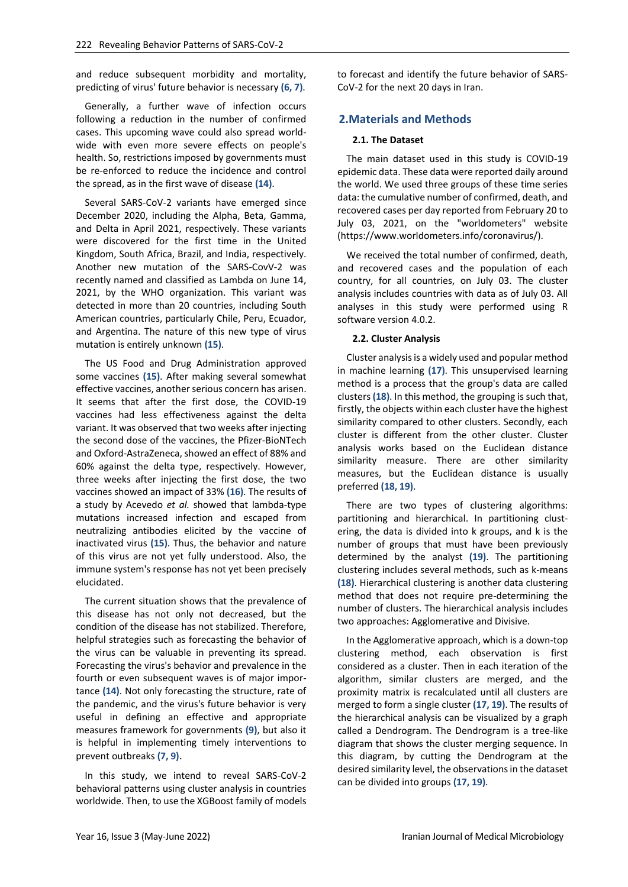and reduce subsequent morbidity and mortality, predicting of virus' future behavior is necessary **(6, 7)**.

Generally, a further wave of infection occurs following a reduction in the number of confirmed cases. This upcoming wave could also spread worldwide with even more severe effects on people's health. So, restrictions imposed by governments must be re-enforced to reduce the incidence and control the spread, as in the first wave of disease **(14)**.

Several SARS-CoV-2 variants have emerged since December 2020, including the Alpha, Beta, Gamma, and Delta in April 2021, respectively. These variants were discovered for the first time in the United Kingdom, South Africa, Brazil, and India, respectively. Another new mutation of the SARS-CovV-2 was recently named and classified as Lambda on June 14, 2021, by the WHO organization. This variant was detected in more than 20 countries, including South American countries, particularly Chile, Peru, Ecuador, and Argentina. The nature of this new type of virus mutation is entirely unknown **(15)**.

The US Food and Drug Administration approved some vaccines **(15)**. After making several somewhat effective vaccines, another serious concern has arisen. It seems that after the first dose, the COVID-19 vaccines had less effectiveness against the delta variant. It was observed that two weeks after injecting the second dose of the vaccines, the Pfizer-BioNTech and Oxford-AstraZeneca, showed an effect of 88% and 60% against the delta type, respectively. However, three weeks after injecting the first dose, the two vaccines showed an impact of 33% **(16)**. The results of a study by Acevedo *et al.* showed that lambda-type mutations increased infection and escaped from neutralizing antibodies elicited by the vaccine of inactivated virus **(15)**. Thus, the behavior and nature of this virus are not yet fully understood. Also, the immune system's response has not yet been precisely elucidated.

The current situation shows that the prevalence of this disease has not only not decreased, but the condition of the disease has not stabilized. Therefore, helpful strategies such as forecasting the behavior of the virus can be valuable in preventing its spread. Forecasting the virus's behavior and prevalence in the fourth or even subsequent waves is of major importance **(14)**. Not only forecasting the structure, rate of the pandemic, and the virus's future behavior is very useful in defining an effective and appropriate measures framework for governments **(9)**, but also it is helpful in implementing timely interventions to prevent outbreaks **(7, 9)**.

In this study, we intend to reveal SARS-CoV-2 behavioral patterns using cluster analysis in countries worldwide. Then, to use the XGBoost family of models

to forecast and identify the future behavior of SARS-CoV-2 for the next 20 days in Iran.

# **2.Materials and Methods**

### **2.1. The Dataset**

The main dataset used in this study is COVID-19 epidemic data. These data were reported daily around the world. We used three groups of these time series data: the cumulative number of confirmed, death, and recovered cases per day reported from February 20 to July 03, 2021, on the "worldometers" website (https://www.worldometers.info/coronavirus/).

We received the total number of confirmed, death, and recovered cases and the population of each country, for all countries, on July 03. The cluster analysis includes countries with data as of July 03. All analyses in this study were performed using R software version 4.0.2.

### **2.2. Cluster Analysis**

Cluster analysis is a widely used and popular method in machine learning **(17)**. This unsupervised learning method is a process that the group's data are called clusters **(18)**. In this method, the grouping is such that, firstly, the objects within each cluster have the highest similarity compared to other clusters. Secondly, each cluster is different from the other cluster. Cluster analysis works based on the Euclidean distance similarity measure. There are other similarity measures, but the Euclidean distance is usually preferred **(18, 19)**.

There are two types of clustering algorithms: partitioning and hierarchical. In partitioning clustering, the data is divided into k groups, and k is the number of groups that must have been previously determined by the analyst **(19)**. The partitioning clustering includes several methods, such as k-means **(18)**. Hierarchical clustering is another data clustering method that does not require pre-determining the number of clusters. The hierarchical analysis includes two approaches: Agglomerative and Divisive.

In the Agglomerative approach, which is a down-top clustering method, each observation is first considered as a cluster. Then in each iteration of the algorithm, similar clusters are merged, and the proximity matrix is recalculated until all clusters are merged to form a single cluster **(17, 19)**. The results of the hierarchical analysis can be visualized by a graph called a Dendrogram. The Dendrogram is a tree-like diagram that shows the cluster merging sequence. In this diagram, by cutting the Dendrogram at the desired similarity level, the observations in the dataset can be divided into groups **(17, 19)**.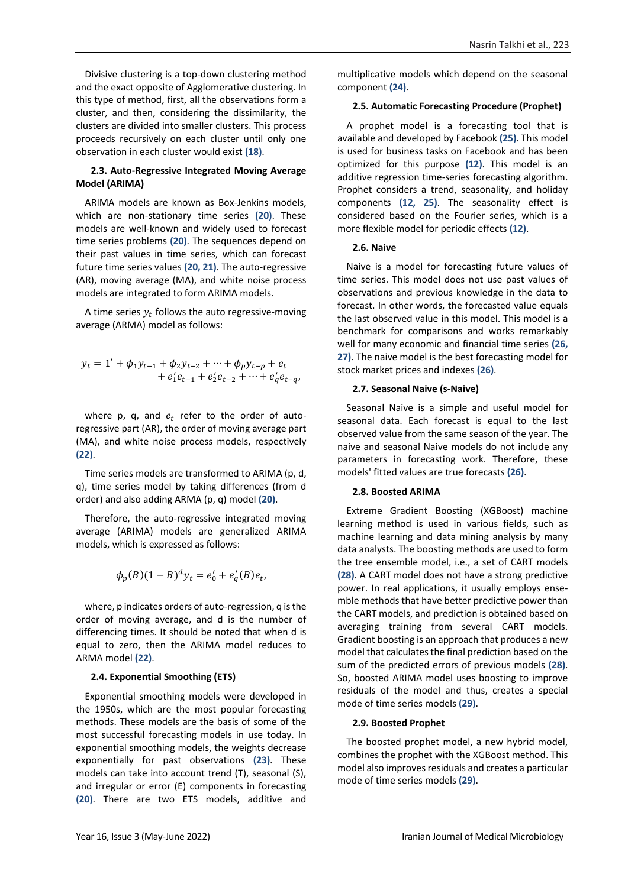Divisive clustering is a top-down clustering method and the exact opposite of Agglomerative clustering. In this type of method, first, all the observations form a cluster, and then, considering the dissimilarity, the clusters are divided into smaller clusters. This process proceeds recursively on each cluster until only one observation in each cluster would exist **(18)**.

### **2.3. Auto-Regressive Integrated Moving Average Model (ARIMA)**

ARIMA models are known as Box-Jenkins models, which are non-stationary time series **(20)**. These models are well-known and widely used to forecast time series problems **(20)**. The sequences depend on their past values in time series, which can forecast future time series values **(20, 21)**. The auto-regressive (AR), moving average (MA), and white noise process models are integrated to form ARIMA models.

A time series  $y_t$  follows the auto regressive-moving average (ARMA) model as follows:

$$
y_t = 1' + \phi_1 y_{t-1} + \phi_2 y_{t-2} + \dots + \phi_p y_{t-p} + e_t + e'_1 e_{t-1} + e'_2 e_{t-2} + \dots + e'_q e_{t-q},
$$

where p, q, and  $e_t$  refer to the order of autoregressive part (AR), the order of moving average part (MA), and white noise process models, respectively **(22)**.

Time series models are transformed to ARIMA (p, d, q), time series model by taking differences (from d order) and also adding ARMA (p, q) model **(20)**.

Therefore, the auto-regressive integrated moving average (ARIMA) models are generalized ARIMA models, which is expressed as follows:

$$
\phi_p(B)(1 - B)^d y_t = e'_0 + e'_q(B)e_t,
$$

where, p indicates orders of auto-regression, q is the order of moving average, and d is the number of differencing times. It should be noted that when d is equal to zero, then the ARIMA model reduces to ARMA model **(22)**.

#### **2.4. Exponential Smoothing (ETS)**

Exponential smoothing models were developed in the 1950s, which are the most popular forecasting methods. These models are the basis of some of the most successful forecasting models in use today. In exponential smoothing models, the weights decrease exponentially for past observations **(23)**. These models can take into account trend (T), seasonal (S), and irregular or error (E) components in forecasting **(20)**. There are two ETS models, additive and multiplicative models which depend on the seasonal component **(24)**.

#### **2.5. Automatic Forecasting Procedure (Prophet)**

A prophet model is a forecasting tool that is available and developed by Facebook **(25)**. This model is used for business tasks on Facebook and has been optimized for this purpose **(12)**. This model is an additive regression time-series forecasting algorithm. Prophet considers a trend, seasonality, and holiday components **(12, 25)**. The seasonality effect is considered based on the Fourier series, which is a more flexible model for periodic effects **(12)**.

#### **2.6. Naive**

Naive is a model for forecasting future values of time series. This model does not use past values of observations and previous knowledge in the data to forecast. In other words, the forecasted value equals the last observed value in this model. This model is a benchmark for comparisons and works remarkably well for many economic and financial time series **(26, 27)**. The naive model is the best forecasting model for stock market prices and indexes **(26)**.

#### **2.7. Seasonal Naive (s-Naive)**

Seasonal Naive is a simple and useful model for seasonal data. Each forecast is equal to the last observed value from the same season of the year. The naive and seasonal Naive models do not include any parameters in forecasting work. Therefore, these models' fitted values are true forecasts **(26)**.

#### **2.8. Boosted ARIMA**

Extreme Gradient Boosting (XGBoost) machine learning method is used in various fields, such as machine learning and data mining analysis by many data analysts. The boosting methods are used to form the tree ensemble model, i.e., a set of CART models **(28)**. A CART model does not have a strong predictive power. In real applications, it usually employs ensemble methods that have better predictive power than the CART models, and prediction is obtained based on averaging training from several CART models. Gradient boosting is an approach that produces a new model that calculates the final prediction based on the sum of the predicted errors of previous models **(28)**. So, boosted ARIMA model uses boosting to improve residuals of the model and thus, creates a special mode of time series models **(29)**.

#### **2.9. Boosted Prophet**

The boosted prophet model, a new hybrid model, combines the prophet with the XGBoost method. This model also improves residuals and creates a particular mode of time series models **(29)**.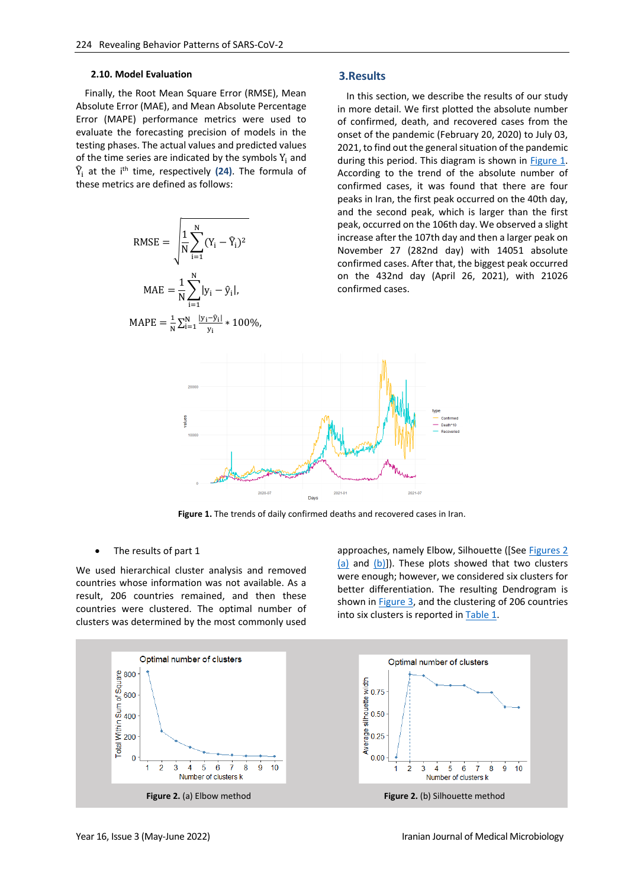#### **2.10. Model Evaluation**

Finally, the Root Mean Square Error (RMSE), Mean Absolute Error (MAE), and Mean Absolute Percentage Error (MAPE) performance metrics were used to evaluate the forecasting precision of models in the testing phases. The actual values and predicted values of the time series are indicated by the symbols  $Y_i$  and  $\widehat{Y}_i$  at the i<sup>th</sup> time, respectively (24). The formula of these metrics are defined as follows:

RMSE = 
$$
\sqrt{\frac{1}{N} \sum_{i=1}^{N} (Y_i - \widehat{Y}_i)^2}
$$

$$
MAE = \frac{1}{N} \sum_{i=1}^{N} |y_i - \hat{y}_i|,
$$

$$
MAPE = \frac{1}{N} \sum_{i=1}^{N} \frac{|y_i - \hat{y}_i|}{y_i} * 100\%,
$$

yi

### **3.Results**

In this section, we describe the results of our study in more detail. We first plotted the absolute number of confirmed, death, and recovered cases from the onset of the pandemic (February 20, 2020) to July 03, 2021, to find out the general situation of the pandemic during this period. This diagram is shown in [Figure 1.](#page-3-0) According to the trend of the absolute number of confirmed cases, it was found that there are four peaks in Iran, the first peak occurred on the 40th day, and the second peak, which is larger than the first peak, occurred on the 106th day. We observed a slight increase after the 107th day and then a larger peak on November 27 (282nd day) with 14051 absolute confirmed cases. After that, the biggest peak occurred on the 432nd day (April 26, 2021), with 21026 confirmed cases.



**Figure 1.** The trends of daily confirmed deaths and recovered cases in Iran.

### <span id="page-3-0"></span>• The results of part 1

We used hierarchical cluster analysis and removed countries whose information was not available. As a result, 206 countries remained, and then these countries were clustered. The optimal number of clusters was determined by the most commonly used <span id="page-3-2"></span>approaches, namely Elbow, Silhouette ([See [Figures 2](#page-3-1)   $(a)$  and  $(b)$ ]). These plots showed that two clusters were enough; however, we considered six clusters for better differentiation. The resulting Dendrogram is shown in Figure 3, and the clustering of 206 countries into six clusters is reported i[n Table 1.](#page-4-0)

<span id="page-3-1"></span>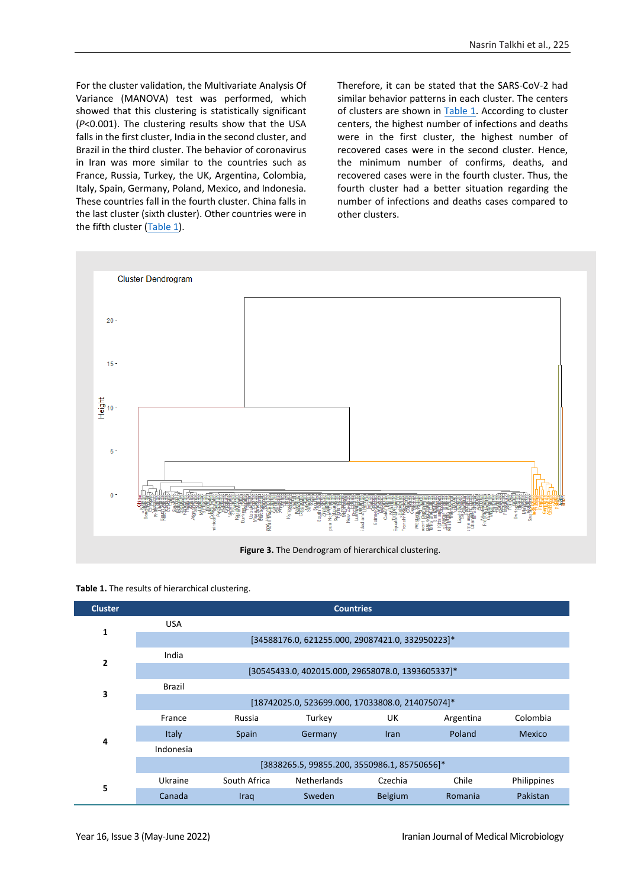For the cluster validation, the Multivariate Analysis Of Variance (MANOVA) test was performed, which showed that this clustering is statistically significant (*P*<0.001). The clustering results show that the USA falls in the first cluster, India in the second cluster, and Brazil in the third cluster. The behavior of coronavirus in Iran was more similar to the countries such as France, Russia, Turkey, the UK, Argentina, Colombia, Italy, Spain, Germany, Poland, Mexico, and Indonesia. These countries fall in the fourth cluster. China falls in the last cluster (sixth cluster). Other countries were in the fifth cluster [\(Table 1\)](#page-4-0).

Therefore, it can be stated that the SARS-CoV-2 had similar behavior patterns in each cluster. The centers of clusters are shown in [Table 1.](#page-4-0) According to cluster centers, the highest number of infections and deaths were in the first cluster, the highest number of recovered cases were in the second cluster. Hence, the minimum number of confirms, deaths, and recovered cases were in the fourth cluster. Thus, the fourth cluster had a better situation regarding the number of infections and deaths cases compared to other clusters.



<span id="page-4-0"></span>

| <b>Cluster</b> | <b>Countries</b>                                 |                                                   |                    |                |           |               |  |  |  |
|----------------|--------------------------------------------------|---------------------------------------------------|--------------------|----------------|-----------|---------------|--|--|--|
| 1              | <b>USA</b>                                       |                                                   |                    |                |           |               |  |  |  |
|                |                                                  | [34588176.0, 621255.000, 29087421.0, 332950223]*  |                    |                |           |               |  |  |  |
|                | India                                            |                                                   |                    |                |           |               |  |  |  |
| 2              |                                                  | [30545433.0, 402015.000, 29658078.0, 1393605337]* |                    |                |           |               |  |  |  |
|                | <b>Brazil</b>                                    |                                                   |                    |                |           |               |  |  |  |
| 3              | [18742025.0, 523699.000, 17033808.0, 214075074]* |                                                   |                    |                |           |               |  |  |  |
|                | France                                           | Russia                                            | Turkey             | UK             | Argentina | Colombia      |  |  |  |
|                | Italy                                            | Spain                                             | Germany            | <b>Iran</b>    | Poland    | <b>Mexico</b> |  |  |  |
| 4              | Indonesia                                        |                                                   |                    |                |           |               |  |  |  |
|                | [3838265.5, 99855.200, 3550986.1, 85750656]*     |                                                   |                    |                |           |               |  |  |  |
|                | Ukraine                                          | South Africa                                      | <b>Netherlands</b> | Czechia        | Chile     | Philippines   |  |  |  |
| 5              | Canada                                           | Iraq                                              | Sweden             | <b>Belgium</b> | Romania   | Pakistan      |  |  |  |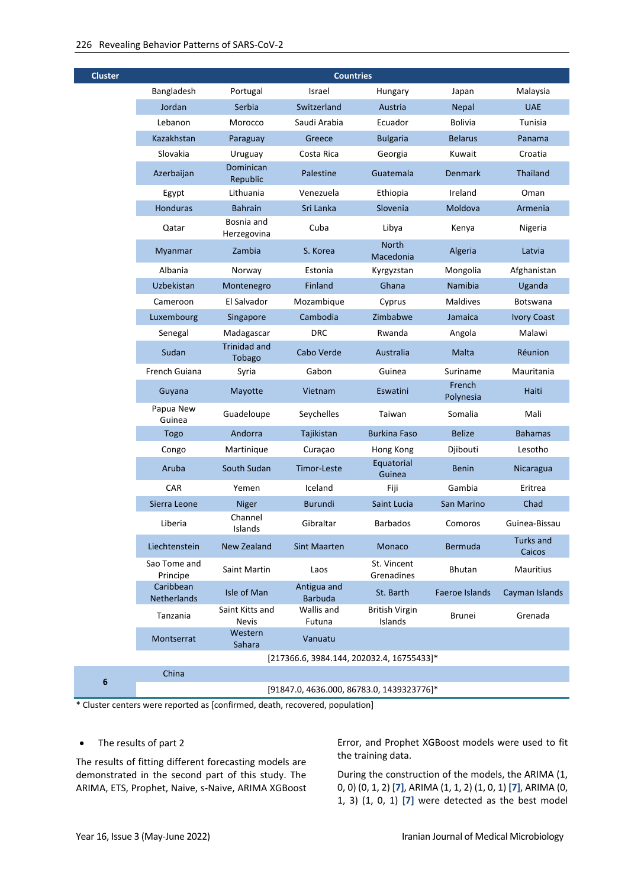| <b>Cluster</b> | <b>Countries</b>                          |                                 |                               |                                  |                             |                    |  |
|----------------|-------------------------------------------|---------------------------------|-------------------------------|----------------------------------|-----------------------------|--------------------|--|
|                | Bangladesh                                | Portugal                        | Israel                        | Hungary                          | Japan                       | Malaysia           |  |
|                | Jordan                                    | Serbia                          | Switzerland                   | Austria                          | Nepal                       | <b>UAE</b>         |  |
|                | Lebanon                                   | Morocco                         | Saudi Arabia                  | Ecuador                          | <b>Bolivia</b>              | Tunisia            |  |
|                | Kazakhstan                                | Paraguay                        | Greece                        | <b>Bulgaria</b>                  | <b>Belarus</b>              | Panama             |  |
|                | Slovakia                                  | Uruguay                         | Costa Rica                    | Georgia                          | Kuwait                      | Croatia            |  |
|                | Azerbaijan                                | Dominican<br>Republic           | Palestine                     | Guatemala                        | <b>Denmark</b>              | Thailand           |  |
|                | Egypt                                     | Lithuania                       | Venezuela                     | Ethiopia                         | Ireland                     | Oman               |  |
|                | <b>Honduras</b>                           | <b>Bahrain</b>                  | Sri Lanka                     | Slovenia                         | Moldova                     | Armenia            |  |
|                | Qatar                                     | Bosnia and<br>Herzegovina       | Cuba                          | Libya                            | Kenya                       | Nigeria            |  |
|                | Myanmar                                   | Zambia                          | S. Korea                      | <b>North</b><br>Macedonia        | Algeria                     | Latvia             |  |
|                | Albania                                   | Norway                          | Estonia                       | Kyrgyzstan                       | Mongolia                    | Afghanistan        |  |
|                | Uzbekistan                                | Montenegro                      | Finland                       | Ghana                            | <b>Namibia</b>              | Uganda             |  |
|                | Cameroon                                  | El Salvador                     | Mozambique                    | Cyprus                           | <b>Maldives</b>             | <b>Botswana</b>    |  |
|                | Luxembourg                                | Singapore                       | Cambodia                      | Zimbabwe                         | Jamaica                     | <b>Ivory Coast</b> |  |
|                | Senegal                                   | Madagascar                      | <b>DRC</b>                    | Rwanda                           | Angola                      | Malawi             |  |
|                | Sudan                                     | <b>Trinidad and</b><br>Tobago   | Cabo Verde                    | Australia                        | Malta                       | Réunion            |  |
|                | French Guiana                             | Syria                           | Gabon                         | Guinea                           | Suriname                    | Mauritania         |  |
|                | Guyana                                    | Mayotte                         | Vietnam                       | Eswatini                         | French<br>Polynesia         | Haiti              |  |
|                | Papua New<br>Guinea                       | Guadeloupe                      | Seychelles                    | Taiwan                           | Somalia                     | Mali               |  |
|                | <b>Togo</b>                               | Andorra                         | Tajikistan                    | <b>Burkina Faso</b>              | <b>Belize</b>               | <b>Bahamas</b>     |  |
|                | Congo                                     | Martinique                      | Curaçao                       | Hong Kong                        | Djibouti                    | Lesotho            |  |
|                | Aruba                                     | South Sudan                     | Timor-Leste                   | Equatorial<br>Guinea             | <b>Benin</b>                | Nicaragua          |  |
|                | CAR                                       | Yemen                           | Iceland                       | Fiji                             | Gambia                      | Eritrea            |  |
|                | Sierra Leone                              | <b>Niger</b>                    | <b>Burundi</b>                | Saint Lucia                      | San Marino                  | Chad               |  |
|                | Liberia                                   | Channel<br>Islands              | Gibraltar                     | <b>Barbados</b>                  | Comoros                     |                    |  |
|                | Liechtenstein                             | <b>New Zealand</b>              | <b>Sint Maarten</b>           | Monaco                           | <b>Turks and</b><br>Bermuda |                    |  |
|                | Sao Tome and<br>Principe                  | Saint Martin                    | Laos                          | St. Vincent<br>Grenadines        | Bhutan                      | Mauritius          |  |
|                | Caribbean<br>Netherlands                  | Isle of Man                     | Antigua and<br><b>Barbuda</b> | St. Barth                        | Faeroe Islands              | Cayman Islands     |  |
|                | Tanzania                                  | Saint Kitts and<br><b>Nevis</b> | Wallis and<br>Futuna          | <b>British Virgin</b><br>Islands | Brunei                      | Grenada            |  |
|                | Montserrat                                | Western<br>Sahara               | Vanuatu                       |                                  |                             |                    |  |
|                | [217366.6, 3984.144, 202032.4, 16755433]* |                                 |                               |                                  |                             |                    |  |
| 6              | China                                     |                                 |                               |                                  |                             |                    |  |
|                | [91847.0, 4636.000, 86783.0, 1439323776]* |                                 |                               |                                  |                             |                    |  |

\* Cluster centers were reported as [confirmed, death, recovered, population]

• The results of part 2

The results of fitting different forecasting models are demonstrated in the second part of this study. The ARIMA, ETS, Prophet, Naive, s-Naive, ARIMA XGBoost Error, and Prophet XGBoost models were used to fit the training data.

During the construction of the models, the ARIMA (1, 0, 0) (0, 1, 2) **[7]**, ARIMA (1, 1, 2) (1, 0, 1) **[7]**, ARIMA (0, 1, 3) (1, 0, 1) **[7]** were detected as the best model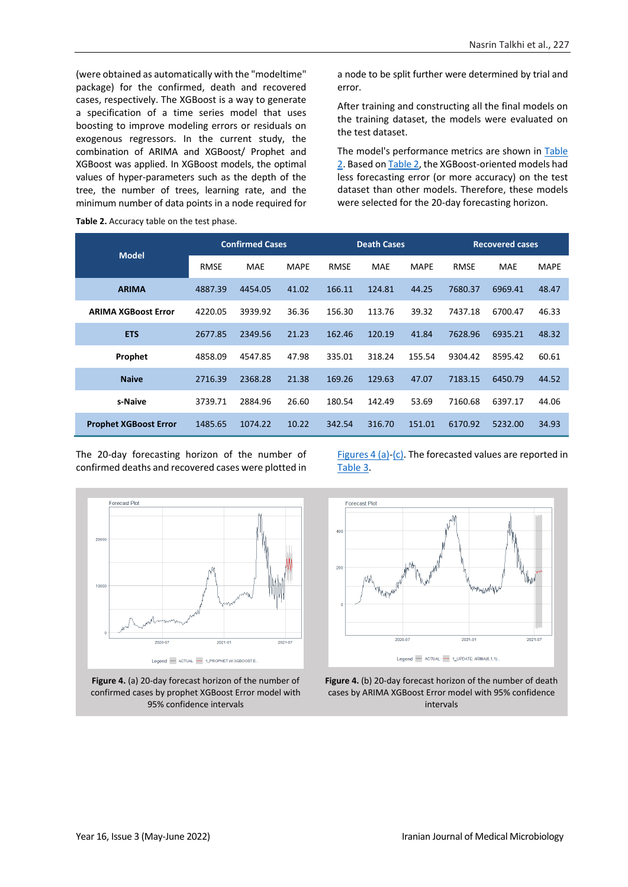(were obtained as automatically with the "modeltime" package) for the confirmed, death and recovered cases, respectively. The XGBoost is a way to generate a specification of a time series model that uses boosting to improve modeling errors or residuals on exogenous regressors. In the current study, the combination of ARIMA and XGBoost/ Prophet and XGBoost was applied. In XGBoost models, the optimal values of hyper-parameters such as the depth of the tree, the number of trees, learning rate, and the minimum number of data points in a node required for

#### <span id="page-6-0"></span>**Table 2.** Accuracy table on the test phase.

a node to be split further were determined by trial and error.

After training and constructing all the final models on the training dataset, the models were evaluated on the test dataset.

The model's performance metrics are shown in [Table](#page-6-0)  [2.](#page-6-0) Based o[n Table 2,](#page-6-0) the XGBoost-oriented models had less forecasting error (or more accuracy) on the test dataset than other models. Therefore, these models were selected for the 20-day forecasting horizon.

|                              | <b>Confirmed Cases</b> |            | <b>Death Cases</b> |             | <b>Recovered cases</b> |             |             |            |             |
|------------------------------|------------------------|------------|--------------------|-------------|------------------------|-------------|-------------|------------|-------------|
| <b>Model</b>                 | <b>RMSE</b>            | <b>MAE</b> | <b>MAPE</b>        | <b>RMSE</b> | <b>MAE</b>             | <b>MAPE</b> | <b>RMSE</b> | <b>MAE</b> | <b>MAPE</b> |
| <b>ARIMA</b>                 | 4887.39                | 4454.05    | 41.02              | 166.11      | 124.81                 | 44.25       | 7680.37     | 6969.41    | 48.47       |
| <b>ARIMA XGBoost Error</b>   | 4220.05                | 3939.92    | 36.36              | 156.30      | 113.76                 | 39.32       | 7437.18     | 6700.47    | 46.33       |
| <b>ETS</b>                   | 2677.85                | 2349.56    | 21.23              | 162.46      | 120.19                 | 41.84       | 7628.96     | 6935.21    | 48.32       |
| Prophet                      | 4858.09                | 4547.85    | 47.98              | 335.01      | 318.24                 | 155.54      | 9304.42     | 8595.42    | 60.61       |
| <b>Naive</b>                 | 2716.39                | 2368.28    | 21.38              | 169.26      | 129.63                 | 47.07       | 7183.15     | 6450.79    | 44.52       |
| s-Naive                      | 3739.71                | 2884.96    | 26.60              | 180.54      | 142.49                 | 53.69       | 7160.68     | 6397.17    | 44.06       |
| <b>Prophet XGBoost Error</b> | 1485.65                | 1074.22    | 10.22              | 342.54      | 316.70                 | 151.01      | 6170.92     | 5232.00    | 34.93       |

The 20-day forecasting horizon of the number of confirmed deaths and recovered cases were plotted in

[Figures 4 \(a\)-](#page-6-1)[\(c\).](#page-7-0) The forecasted values are reported in [Table 3.](#page-7-1)



<span id="page-6-1"></span>**Figure 4.** (a) 20-day forecast horizon of the number of confirmed cases by prophet XGBoost Error model with 95% confidence intervals



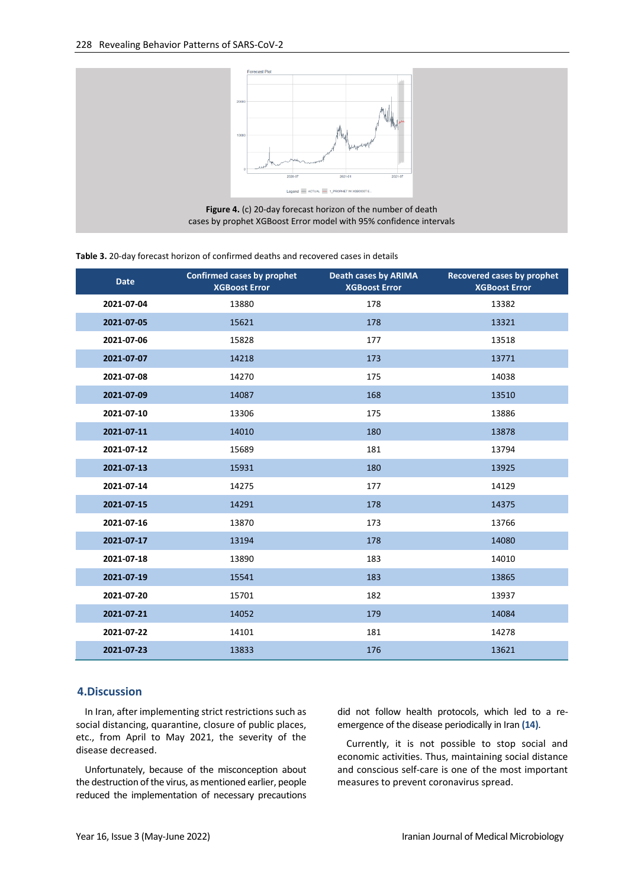

| <b>Date</b> | Confirmed cases by prophet<br><b>XGBoost Error</b> | <b>Death cases by ARIMA</b><br><b>XGBoost Error</b> | Recovered cases by prophet<br><b>XGBoost Error</b> |
|-------------|----------------------------------------------------|-----------------------------------------------------|----------------------------------------------------|
| 2021-07-04  | 13880                                              | 178                                                 | 13382                                              |
| 2021-07-05  | 15621                                              | 178                                                 | 13321                                              |
| 2021-07-06  | 15828                                              | 177                                                 | 13518                                              |
| 2021-07-07  | 14218                                              | 173                                                 | 13771                                              |
| 2021-07-08  | 14270                                              | 175                                                 | 14038                                              |
| 2021-07-09  | 14087                                              | 168                                                 | 13510                                              |
| 2021-07-10  | 13306                                              | 175                                                 | 13886                                              |
| 2021-07-11  | 14010                                              | 180                                                 | 13878                                              |
| 2021-07-12  | 15689                                              | 181                                                 | 13794                                              |
| 2021-07-13  | 15931                                              | 180                                                 | 13925                                              |
| 2021-07-14  | 14275                                              | 177                                                 | 14129                                              |
| 2021-07-15  | 14291                                              | 178                                                 | 14375                                              |
| 2021-07-16  | 13870                                              | 173                                                 | 13766                                              |
| 2021-07-17  | 13194                                              | 178                                                 | 14080                                              |
| 2021-07-18  | 13890                                              | 183                                                 | 14010                                              |
| 2021-07-19  | 15541                                              | 183                                                 | 13865                                              |
| 2021-07-20  | 15701                                              | 182                                                 | 13937                                              |
| 2021-07-21  | 14052                                              | 179                                                 | 14084                                              |
| 2021-07-22  | 14101                                              | 181                                                 | 14278                                              |
| 2021-07-23  | 13833                                              | 176                                                 | 13621                                              |

#### <span id="page-7-1"></span><span id="page-7-0"></span>**Table 3.** 20-day forecast horizon of confirmed deaths and recovered cases in details

### **4.Discussion**

In Iran, after implementing strict restrictions such as social distancing, quarantine, closure of public places, etc., from April to May 2021, the severity of the disease decreased.

Unfortunately, because of the misconception about the destruction of the virus, as mentioned earlier, people reduced the implementation of necessary precautions

did not follow health protocols, which led to a reemergence of the disease periodically in Iran **(14)**.

Currently, it is not possible to stop social and economic activities. Thus, maintaining social distance and conscious self-care is one of the most important measures to prevent coronavirus spread.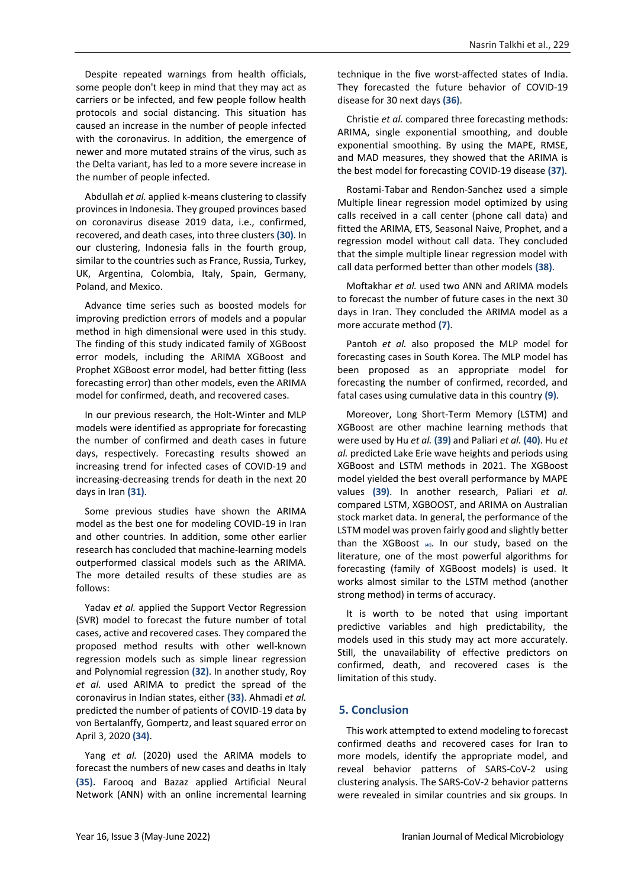Despite repeated warnings from health officials, some people don't keep in mind that they may act as carriers or be infected, and few people follow health protocols and social distancing. This situation has caused an increase in the number of people infected with the coronavirus. In addition, the emergence of newer and more mutated strains of the virus, such as the Delta variant, has led to a more severe increase in the number of people infected.

Abdullah *et al.* applied k-means clustering to classify provinces in Indonesia. They grouped provinces based on coronavirus disease 2019 data, i.e., confirmed, recovered, and death cases, into three clusters **(30)**. In our clustering, Indonesia falls in the fourth group, similar to the countries such as France, Russia, Turkey, UK, Argentina, Colombia, Italy, Spain, Germany, Poland, and Mexico.

Advance time series such as boosted models for improving prediction errors of models and a popular method in high dimensional were used in this study. The finding of this study indicated family of XGBoost error models, including the ARIMA XGBoost and Prophet XGBoost error model, had better fitting (less forecasting error) than other models, even the ARIMA model for confirmed, death, and recovered cases.

In our previous research, the Holt-Winter and MLP models were identified as appropriate for forecasting the number of confirmed and death cases in future days, respectively. Forecasting results showed an increasing trend for infected cases of COVID-19 and increasing-decreasing trends for death in the next 20 days in Iran **(31)**.

Some previous studies have shown the ARIMA model as the best one for modeling COVID-19 in Iran and other countries. In addition, some other earlier research has concluded that machine-learning models outperformed classical models such as the ARIMA. The more detailed results of these studies are as follows:

Yadav *et al.* applied the Support Vector Regression (SVR) model to forecast the future number of total cases, active and recovered cases. They compared the proposed method results with other well-known regression models such as simple linear regression and Polynomial regression **(32)**. In another study, Roy *et al.* used ARIMA to predict the spread of the coronavirus in Indian states, either **(33)**. Ahmadi *et al.* predicted the number of patients of COVID-19 data by von Bertalanffy, Gompertz, and least squared error on April 3, 2020 **(34)**.

Yang *et al.* (2020) used the ARIMA models to forecast the numbers of new cases and deaths in Italy **(35)**. Farooq and Bazaz applied Artificial Neural Network (ANN) with an online incremental learning

technique in the five worst-affected states of India. They forecasted the future behavior of COVID-19 disease for 30 next days **(36)**.

Christie *et al.* compared three forecasting methods: ARIMA, single exponential smoothing, and double exponential smoothing. By using the MAPE, RMSE, and MAD measures, they showed that the ARIMA is the best model for forecasting COVID-19 disease **(37)**.

Rostami-Tabar and Rendon-Sanchez used a simple Multiple linear regression model optimized by using calls received in a call center (phone call data) and fitted the ARIMA, ETS, Seasonal Naive, Prophet, and a regression model without call data. They concluded that the simple multiple linear regression model with call data performed better than other models **(38)**.

Moftakhar *et al.* used two ANN and ARIMA models to forecast the number of future cases in the next 30 days in Iran. They concluded the ARIMA model as a more accurate method **(7)**.

Pantoh *et al.* also proposed the MLP model for forecasting cases in South Korea. The MLP model has been proposed as an appropriate model for forecasting the number of confirmed, recorded, and fatal cases using cumulative data in this country **(9)**.

Moreover, Long Short-Term Memory (LSTM) and XGBoost are other machine learning methods that were used by Hu *et al.* **(39)** and Paliari *et al.* **(40)**. Hu *et al.* predicted Lake Erie wave heights and periods using XGBoost and LSTM methods in 2021. The XGBoost model yielded the best overall performance by MAPE values **(39)**. In another research, Paliari *et al.* compared LSTM, XGBOOST, and ARIMA on Australian stock market data. In general, the performance of the LSTM model was proven fairly good and slightly better than the XGBoost **(40)**. In our study, based on the literature, one of the most powerful algorithms for forecasting (family of XGBoost models) is used. It works almost similar to the LSTM method (another strong method) in terms of accuracy.

It is worth to be noted that using important predictive variables and high predictability, the models used in this study may act more accurately. Still, the unavailability of effective predictors on confirmed, death, and recovered cases is the limitation of this study.

# **5. Conclusion**

This work attempted to extend modeling to forecast confirmed deaths and recovered cases for Iran to more models, identify the appropriate model, and reveal behavior patterns of SARS-CoV-2 using clustering analysis. The SARS-CoV-2 behavior patterns were revealed in similar countries and six groups. In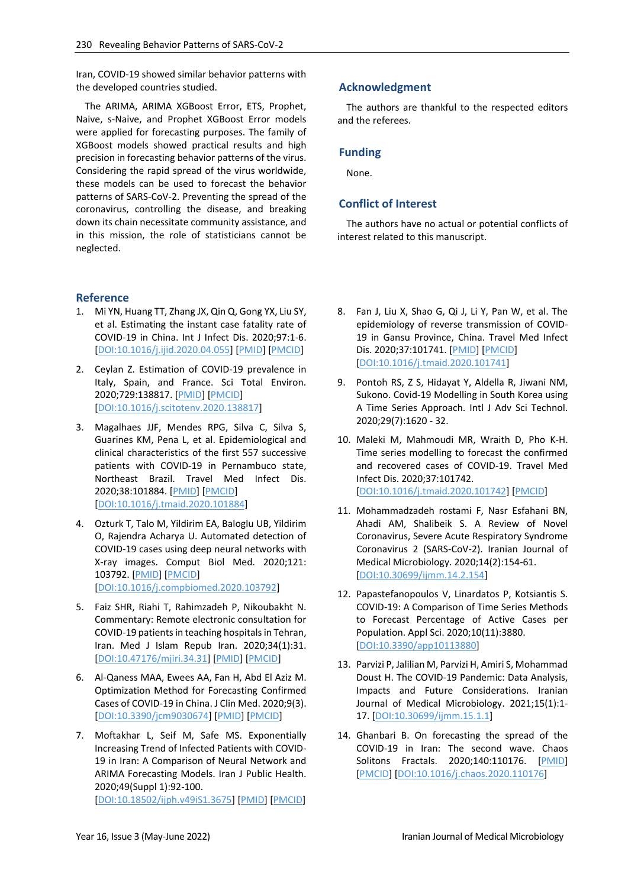Iran, COVID-19 showed similar behavior patterns with the developed countries studied.

The ARIMA, ARIMA XGBoost Error, ETS, Prophet, Naive, s-Naive, and Prophet XGBoost Error models were applied for forecasting purposes. The family of XGBoost models showed practical results and high precision in forecasting behavior patterns of the virus. Considering the rapid spread of the virus worldwide, these models can be used to forecast the behavior patterns of SARS-CoV-2. Preventing the spread of the coronavirus, controlling the disease, and breaking down its chain necessitate community assistance, and in this mission, the role of statisticians cannot be neglected.

# **Reference**

- 1. Mi YN, Huang TT, Zhang JX, Qin Q, Gong YX, Liu SY, et al. Estimating the instant case fatality rate of COVID-19 in China. Int J Infect Dis. 2020;97:1-6. [\[DOI:10.1016/j.ijid.2020.04.055\]](https://doi.org/10.1016/j.ijid.2020.04.055) [\[PMID\]](https://www.ncbi.nlm.nih.gov/pubmed/32339723) [\[PMCID\]](http://www.ncbi.nlm.nih.gov/pmc/articles/PMC7180353)
- 2. Ceylan Z. Estimation of COVID-19 prevalence in Italy, Spain, and France. Sci Total Environ. 2020;729:138817. [\[PMID\]](https://www.ncbi.nlm.nih.gov/pubmed/32360907) [\[PMCID\]](http://www.ncbi.nlm.nih.gov/pmc/articles/PMC7175852) [\[DOI:10.1016/j.scitotenv.2020.138817\]](https://doi.org/10.1016/j.scitotenv.2020.138817)
- 3. Magalhaes JJF, Mendes RPG, Silva C, Silva S, Guarines KM, Pena L, et al. Epidemiological and clinical characteristics of the first 557 successive patients with COVID-19 in Pernambuco state, Northeast Brazil. Travel Med Infect Dis. 2020;38:101884. [\[PMID\]](https://www.ncbi.nlm.nih.gov/pubmed/32971239) [\[PMCID\]](http://www.ncbi.nlm.nih.gov/pmc/articles/PMC7522369) [\[DOI:10.1016/j.tmaid.2020.101884\]](https://doi.org/10.1016/j.tmaid.2020.101884)
- 4. Ozturk T, Talo M, Yildirim EA, Baloglu UB, Yildirim O, Rajendra Acharya U. Automated detection of COVID-19 cases using deep neural networks with X-ray images. Comput Biol Med. 2020;121: 103792. [\[PMID\]](https://www.ncbi.nlm.nih.gov/pubmed/32568675) [\[PMCID\]](http://www.ncbi.nlm.nih.gov/pmc/articles/PMC7187882) [\[DOI:10.1016/j.compbiomed.2020.103792\]](https://doi.org/10.1016/j.compbiomed.2020.103792)
- 5. Faiz SHR, Riahi T, Rahimzadeh P, Nikoubakht N. Commentary: Remote electronic consultation for COVID-19 patients in teaching hospitals in Tehran, Iran. Med J Islam Repub Iran. 2020;34(1):31. [\[DOI:10.47176/mjiri.34.31\]](https://doi.org/10.47176/mjiri.34.31) [\[PMID\]](https://www.ncbi.nlm.nih.gov/pubmed/32617270) [\[PMCID\]](http://www.ncbi.nlm.nih.gov/pmc/articles/PMC7320982)
- 6. Al-Qaness MAA, Ewees AA, Fan H, Abd El Aziz M. Optimization Method for Forecasting Confirmed Cases of COVID-19 in China. J Clin Med. 2020;9(3). [\[DOI:10.3390/jcm9030674\]](https://doi.org/10.3390/jcm9030674) [\[PMID\]](https://www.ncbi.nlm.nih.gov/pubmed/32131537) [\[PMCID\]](http://www.ncbi.nlm.nih.gov/pmc/articles/PMC7141184)
- 7. Moftakhar L, Seif M, Safe MS. Exponentially Increasing Trend of Infected Patients with COVID-19 in Iran: A Comparison of Neural Network and ARIMA Forecasting Models. Iran J Public Health. 2020;49(Suppl 1):92-100. [\[DOI:10.18502/ijph.v49iS1.3675\]](https://doi.org/10.18502/ijph.v49iS1.3675) [\[PMID\]](https://www.ncbi.nlm.nih.gov/pubmed/34268211) [\[PMCID\]](http://www.ncbi.nlm.nih.gov/pmc/articles/PMC8266002)

# **Acknowledgment**

The authors are thankful to the respected editors and the referees.

# **Funding**

None.

# **Conflict of Interest**

The authors have no actual or potential conflicts of interest related to this manuscript.

- 8. Fan J, Liu X, Shao G, Qi J, Li Y, Pan W, et al. The epidemiology of reverse transmission of COVID-19 in Gansu Province, China. Travel Med Infect Dis. 2020;37:101741. [\[PMID\]](https://www.ncbi.nlm.nih.gov/pubmed/32407893) [\[PMCID\]](http://www.ncbi.nlm.nih.gov/pmc/articles/PMC7215163) [\[DOI:10.1016/j.tmaid.2020.101741\]](https://doi.org/10.1016/j.tmaid.2020.101741)
- 9. Pontoh RS, Z S, Hidayat Y, Aldella R, Jiwani NM, Sukono. Covid-19 Modelling in South Korea using A Time Series Approach. Intl J Adv Sci Technol. 2020;29(7):1620 - 32.
- 10. Maleki M, Mahmoudi MR, Wraith D, Pho K-H. Time series modelling to forecast the confirmed and recovered cases of COVID-19. Travel Med Infect Dis. 2020;37:101742. [\[DOI:10.1016/j.tmaid.2020.101742\]](https://doi.org/10.1016/j.tmaid.2020.101742) [\[PMCID\]](http://www.ncbi.nlm.nih.gov/pmc/articles/PMC7219401)
- 11. Mohammadzadeh rostami F, Nasr Esfahani BN, Ahadi AM, Shalibeik S. A Review of Novel Coronavirus, Severe Acute Respiratory Syndrome Coronavirus 2 (SARS-CoV-2). Iranian Journal of Medical Microbiology. 2020;14(2):154-61. [\[DOI:10.30699/ijmm.14.2.154\]](https://doi.org/10.30699/ijmm.14.2.154)
- 12. Papastefanopoulos V, Linardatos P, Kotsiantis S. COVID-19: A Comparison of Time Series Methods to Forecast Percentage of Active Cases per Population. Appl Sci. 2020;10(11):3880. [\[DOI:10.3390/app10113880\]](https://doi.org/10.3390/app10113880)
- 13. Parvizi P, Jalilian M, Parvizi H, Amiri S, Mohammad Doust H. The COVID-19 Pandemic: Data Analysis, Impacts and Future Considerations. Iranian Journal of Medical Microbiology. 2021;15(1):1- 17. [\[DOI:10.30699/ijmm.15.1.1\]](https://doi.org/10.30699/ijmm.15.1.1)
- 14. Ghanbari B. On forecasting the spread of the COVID-19 in Iran: The second wave. Chaos Solitons Fractals. 2020;140:110176. [\[PMID\]](https://www.ncbi.nlm.nih.gov/pubmed/32834656) [\[PMCID\]](http://www.ncbi.nlm.nih.gov/pmc/articles/PMC7386426) [\[DOI:10.1016/j.chaos.2020.110176\]](https://doi.org/10.1016/j.chaos.2020.110176)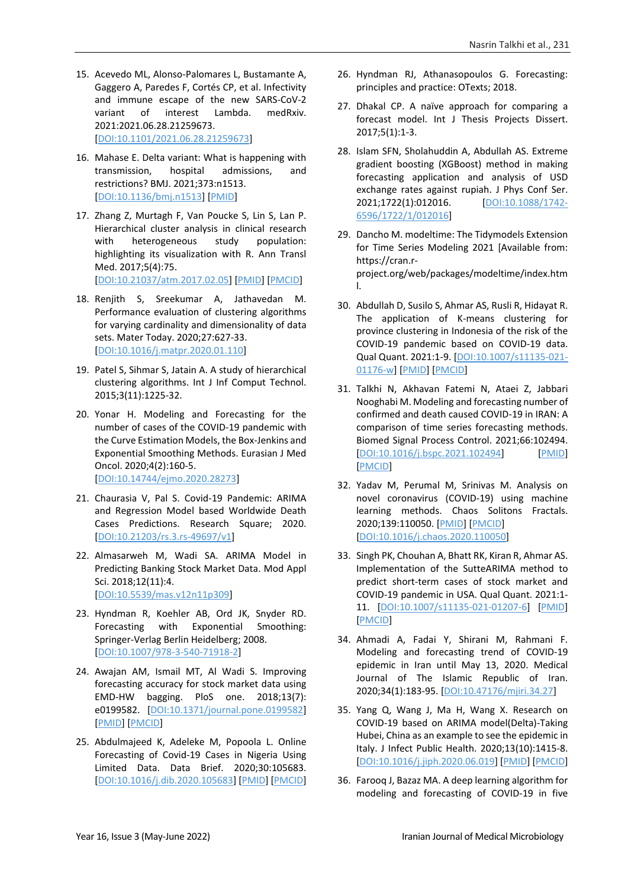- 15. Acevedo ML, Alonso-Palomares L, Bustamante A, Gaggero A, Paredes F, Cortés CP, et al. Infectivity and immune escape of the new SARS-CoV-2 variant of interest Lambda. medRxiv. 2021:2021.06.28.21259673. [\[DOI:10.1101/2021.06.28.21259673\]](https://doi.org/10.1101/2021.06.28.21259673)
- 16. Mahase E. Delta variant: What is happening with transmission, hospital admissions, and restrictions? BMJ. 2021;373:n1513. [\[DOI:10.1136/bmj.n1513\]](https://doi.org/10.1136/bmj.n1513) [\[PMID\]](https://www.ncbi.nlm.nih.gov/pubmed/34130949)
- 17. Zhang Z, Murtagh F, Van Poucke S, Lin S, Lan P. Hierarchical cluster analysis in clinical research with heterogeneous study population: highlighting its visualization with R. Ann Transl Med. 2017;5(4):75. [\[DOI:10.21037/atm.2017.02.05\]](https://doi.org/10.21037/atm.2017.02.05) [\[PMID\]](https://www.ncbi.nlm.nih.gov/pubmed/28275620) [\[PMCID\]](http://www.ncbi.nlm.nih.gov/pmc/articles/PMC5337204)
- 18. Renjith S, Sreekumar A, Jathavedan M. Performance evaluation of clustering algorithms for varying cardinality and dimensionality of data sets. Mater Today. 2020;27:627-33. [\[DOI:10.1016/j.matpr.2020.01.110\]](https://doi.org/10.1016/j.matpr.2020.01.110)
- 19. Patel S, Sihmar S, Jatain A. A study of hierarchical clustering algorithms. Int J Inf Comput Technol. 2015;3(11):1225-32.
- 20. Yonar H. Modeling and Forecasting for the number of cases of the COVID-19 pandemic with the Curve Estimation Models, the Box-Jenkins and Exponential Smoothing Methods. Eurasian J Med Oncol. 2020;4(2):160-5. [\[DOI:10.14744/ejmo.2020.28273\]](https://doi.org/10.14744/ejmo.2020.28273)
- 21. Chaurasia V, Pal S. Covid-19 Pandemic: ARIMA and Regression Model based Worldwide Death Cases Predictions. Research Square; 2020. [\[DOI:10.21203/rs.3.rs-49697/v1\]](https://doi.org/10.21203/rs.3.rs-49697/v1)
- 22. Almasarweh M, Wadi SA. ARIMA Model in Predicting Banking Stock Market Data. Mod Appl Sci. 2018;12(11):4. [\[DOI:10.5539/mas.v12n11p309\]](https://doi.org/10.5539/mas.v12n11p309)
- 23. Hyndman R, Koehler AB, Ord JK, Snyder RD. Forecasting with Exponential Smoothing: Springer-Verlag Berlin Heidelberg; 2008. [\[DOI:10.1007/978-3-540-71918-2\]](https://doi.org/10.1007/978-3-540-71918-2)
- 24. Awajan AM, Ismail MT, Al Wadi S. Improving forecasting accuracy for stock market data using EMD-HW bagging. PloS one. 2018;13(7): e0199582. [\[DOI:10.1371/journal.pone.0199582\]](https://doi.org/10.1371/journal.pone.0199582) [\[PMID\]](https://www.ncbi.nlm.nih.gov/pubmed/30016323) [\[PMCID\]](http://www.ncbi.nlm.nih.gov/pmc/articles/PMC6049912)
- 25. Abdulmajeed K, Adeleke M, Popoola L. Online Forecasting of Covid-19 Cases in Nigeria Using Limited Data. Data Brief. 2020;30:105683. [\[DOI:10.1016/j.dib.2020.105683\]](https://doi.org/10.1016/j.dib.2020.105683) [\[PMID\]](https://www.ncbi.nlm.nih.gov/pubmed/32391409) [\[PMCID\]](http://www.ncbi.nlm.nih.gov/pmc/articles/PMC7206427)
- 26. Hyndman RJ, Athanasopoulos G. Forecasting: principles and practice: OTexts; 2018.
- 27. Dhakal CP. A naïve approach for comparing a forecast model. Int J Thesis Projects Dissert. 2017;5(1):1-3.
- 28. Islam SFN, Sholahuddin A, Abdullah AS. Extreme gradient boosting (XGBoost) method in making forecasting application and analysis of USD exchange rates against rupiah. J Phys Conf Ser. 2021;1722(1):012016. [\[DOI:10.1088/1742-](https://doi.org/10.1088/1742-6596/1722/1/012016) [6596/1722/1/012016\]](https://doi.org/10.1088/1742-6596/1722/1/012016)
- 29. Dancho M. modeltime: The Tidymodels Extension for Time Series Modeling 2021 [Available from: https://cran.rproject.org/web/packages/modeltime/index.htm l.
- 30. Abdullah D, Susilo S, Ahmar AS, Rusli R, Hidayat R. The application of K-means clustering for province clustering in Indonesia of the risk of the COVID-19 pandemic based on COVID-19 data. Qual Quant. 2021:1-9. [\[DOI:10.1007/s11135-021-](https://doi.org/10.1007/s11135-021-01176-w) [01176-w\]](https://doi.org/10.1007/s11135-021-01176-w) [\[PMID\]](https://www.ncbi.nlm.nih.gov/pubmed/34103768) [\[PMCID\]](http://www.ncbi.nlm.nih.gov/pmc/articles/PMC8173859)
- 31. Talkhi N, Akhavan Fatemi N, Ataei Z, Jabbari Nooghabi M. Modeling and forecasting number of confirmed and death caused COVID-19 in IRAN: A comparison of time series forecasting methods. Biomed Signal Process Control. 2021;66:102494. [\[DOI:10.1016/j.bspc.2021.102494\]](https://doi.org/10.1016/j.bspc.2021.102494) [\[PMID\]](https://www.ncbi.nlm.nih.gov/pubmed/33594301) [\[PMCID\]](http://www.ncbi.nlm.nih.gov/pmc/articles/PMC7874981)
- 32. Yadav M, Perumal M, Srinivas M. Analysis on novel coronavirus (COVID-19) using machine learning methods. Chaos Solitons Fractals. 2020;139:110050. [\[PMID\]](https://www.ncbi.nlm.nih.gov/pubmed/32834604) [\[PMCID\]](http://www.ncbi.nlm.nih.gov/pmc/articles/PMC7324348) [\[DOI:10.1016/j.chaos.2020.110050\]](https://doi.org/10.1016/j.chaos.2020.110050)
- 33. Singh PK, Chouhan A, Bhatt RK, Kiran R, Ahmar AS. Implementation of the SutteARIMA method to predict short-term cases of stock market and COVID-19 pandemic in USA. Qual Quant. 2021:1- 11. [\[DOI:10.1007/s11135-021-01207-6\]](https://doi.org/10.1007/s11135-021-01207-6) [\[PMID\]](https://www.ncbi.nlm.nih.gov/pubmed/34276076) [\[PMCID\]](http://www.ncbi.nlm.nih.gov/pmc/articles/PMC8277990)
- 34. Ahmadi A, Fadai Y, Shirani M, Rahmani F. Modeling and forecasting trend of COVID-19 epidemic in Iran until May 13, 2020. Medical Journal of The Islamic Republic of Iran. 2020;34(1):183-95. [\[DOI:10.47176/mjiri.34.27\]](https://doi.org/10.47176/mjiri.34.27)
- 35. Yang Q, Wang J, Ma H, Wang X. Research on COVID-19 based on ARIMA model(Delta)-Taking Hubei, China as an example to see the epidemic in Italy. J Infect Public Health. 2020;13(10):1415-8. [\[DOI:10.1016/j.jiph.2020.06.019\]](https://doi.org/10.1016/j.jiph.2020.06.019) [\[PMID\]](https://www.ncbi.nlm.nih.gov/pubmed/32624404) [\[PMCID\]](http://www.ncbi.nlm.nih.gov/pmc/articles/PMC7313887)
- 36. Farooq J, Bazaz MA. A deep learning algorithm for modeling and forecasting of COVID-19 in five